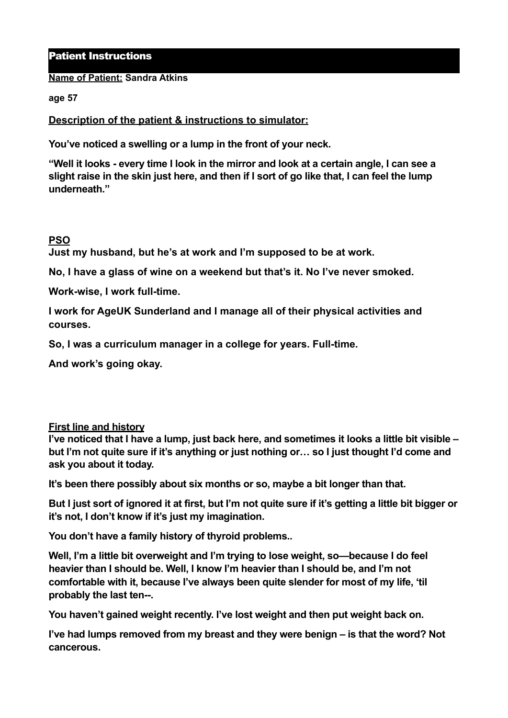## Patient Instructions

#### **Name of Patient: Sandra Atkins**

**age 57** 

## **Description of the patient & instructions to simulator:**

**You've noticed a swelling or a lump in the front of your neck.** 

**"Well it looks - every time I look in the mirror and look at a certain angle, I can see a slight raise in the skin just here, and then if I sort of go like that, I can feel the lump underneath."** 

# **PSO**

**Just my husband, but he's at work and I'm supposed to be at work.** 

**No, I have a glass of wine on a weekend but that's it. No I've never smoked.** 

**Work-wise, I work full-time.** 

**I work for AgeUK Sunderland and I manage all of their physical activities and courses.** 

**So, I was a curriculum manager in a college for years. Full-time.** 

**And work's going okay.** 

#### **First line and history**

**I've noticed that I have a lump, just back here, and sometimes it looks a little bit visible – but I'm not quite sure if it's anything or just nothing or… so I just thought I'd come and ask you about it today.**

**It's been there possibly about six months or so, maybe a bit longer than that.** 

**But I just sort of ignored it at first, but I'm not quite sure if it's getting a little bit bigger or it's not, I don't know if it's just my imagination.** 

**You don't have a family history of thyroid problems..** 

**Well, I'm a little bit overweight and I'm trying to lose weight, so—because I do feel heavier than I should be. Well, I know I'm heavier than I should be, and I'm not comfortable with it, because I've always been quite slender for most of my life, 'til probably the last ten--.** 

**You haven't gained weight recently. I've lost weight and then put weight back on.** 

**I've had lumps removed from my breast and they were benign – is that the word? Not cancerous.**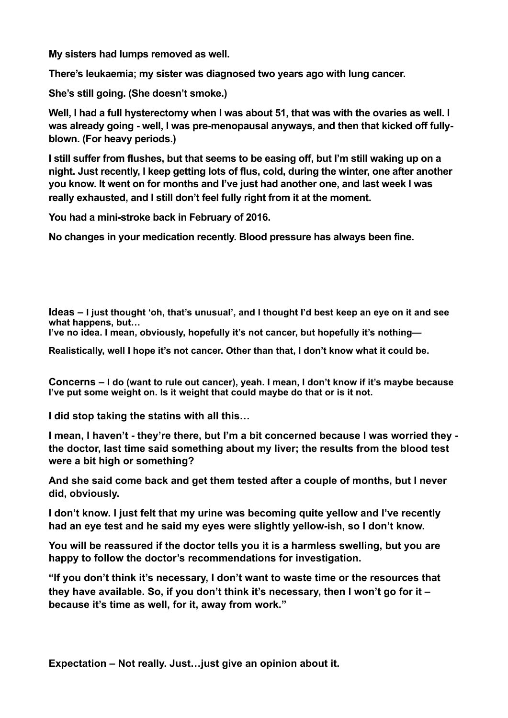**My sisters had lumps removed as well.** 

**There's leukaemia; my sister was diagnosed two years ago with lung cancer.** 

**She's still going. (She doesn't smoke.)** 

**Well, I had a full hysterectomy when I was about 51, that was with the ovaries as well. I was already going - well, I was pre-menopausal anyways, and then that kicked off fullyblown. (For heavy periods.)** 

**I still suffer from flushes, but that seems to be easing off, but I'm still waking up on a night. Just recently, I keep getting lots of flus, cold, during the winter, one after another you know. It went on for months and I've just had another one, and last week I was really exhausted, and I still don't feel fully right from it at the moment.** 

**You had a mini-stroke back in February of 2016.** 

**No changes in your medication recently. Blood pressure has always been fine.** 

**Ideas – I just thought 'oh, that's unusual', and I thought I'd best keep an eye on it and see**  what happens, but...

**I've no idea. I mean, obviously, hopefully it's not cancer, but hopefully it's nothing—** 

**Realistically, well I hope it's not cancer. Other than that, I don't know what it could be.**

**Concerns – I do (want to rule out cancer), yeah. I mean, I don't know if it's maybe because I've put some weight on. Is it weight that could maybe do that or is it not.** 

**I did stop taking the statins with all this…** 

**I mean, I haven't - they're there, but I'm a bit concerned because I was worried they the doctor, last time said something about my liver; the results from the blood test were a bit high or something?** 

**And she said come back and get them tested after a couple of months, but I never did, obviously.** 

**I don't know. I just felt that my urine was becoming quite yellow and I've recently had an eye test and he said my eyes were slightly yellow-ish, so I don't know.** 

**You will be reassured if the doctor tells you it is a harmless swelling, but you are happy to follow the doctor's recommendations for investigation.** 

**"If you don't think it's necessary, I don't want to waste time or the resources that they have available. So, if you don't think it's necessary, then I won't go for it – because it's time as well, for it, away from work."** 

**Expectation – Not really. Just…just give an opinion about it.**